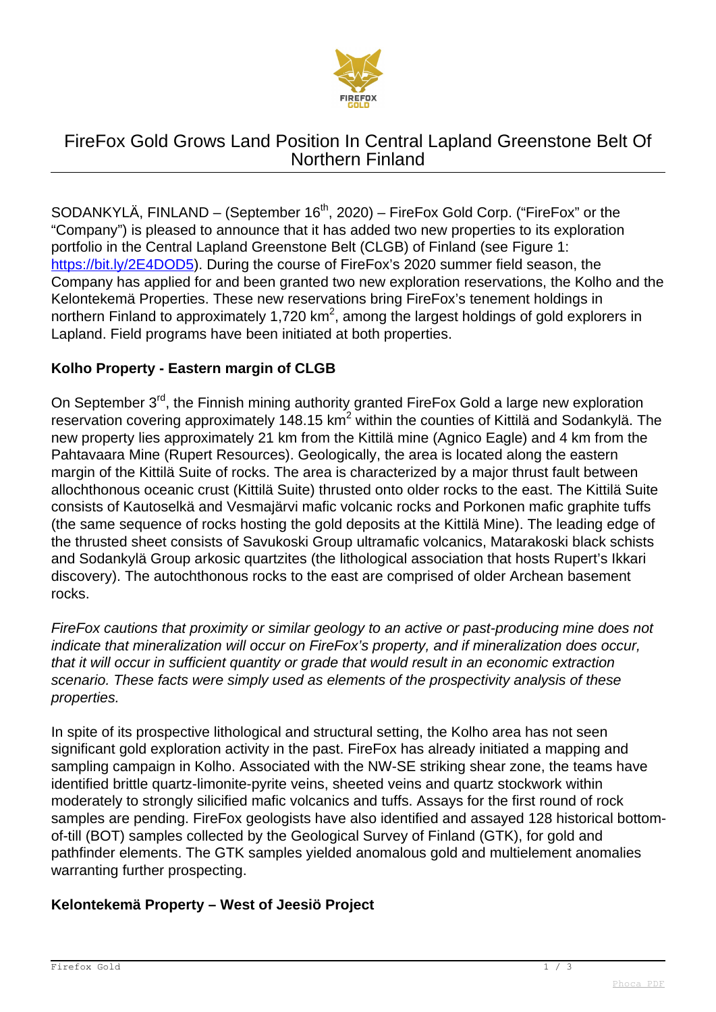

# FireFox Gold Grows Land Position In Central Lapland Greenstone Belt Of Northern Finland

SODANKYLÄ, FINLAND – (September 16<sup>th</sup>, 2020) – FireFox Gold Corp. ("FireFox" or the "Company") is pleased to announce that it has added two new properties to its exploration portfolio in the Central Lapland Greenstone Belt (CLGB) of Finland (see Figure 1: <https://bit.ly/2E4DOD5>). During the course of FireFox's 2020 summer field season, the Company has applied for and been granted two new exploration reservations, the Kolho and the Kelontekemä Properties. These new reservations bring FireFox's tenement holdings in northern Finland to approximately 1,720 km<sup>2</sup>, among the largest holdings of gold explorers in Lapland. Field programs have been initiated at both properties.

### **Kolho Property - Eastern margin of CLGB**

On September 3<sup>rd</sup>, the Finnish mining authority granted FireFox Gold a large new exploration reservation covering approximately 148.15 km<sup>2</sup> within the counties of Kittilä and Sodankylä. The new property lies approximately 21 km from the Kittilä mine (Agnico Eagle) and 4 km from the Pahtavaara Mine (Rupert Resources). Geologically, the area is located along the eastern margin of the Kittilä Suite of rocks. The area is characterized by a major thrust fault between allochthonous oceanic crust (Kittilä Suite) thrusted onto older rocks to the east. The Kittilä Suite consists of Kautoselkä and Vesmajärvi mafic volcanic rocks and Porkonen mafic graphite tuffs (the same sequence of rocks hosting the gold deposits at the Kittilä Mine). The leading edge of the thrusted sheet consists of Savukoski Group ultramafic volcanics, Matarakoski black schists and Sodankylä Group arkosic quartzites (the lithological association that hosts Rupert's Ikkari discovery). The autochthonous rocks to the east are comprised of older Archean basement rocks.

FireFox cautions that proximity or similar geology to an active or past-producing mine does not indicate that mineralization will occur on FireFox's property, and if mineralization does occur, that it will occur in sufficient quantity or grade that would result in an economic extraction scenario. These facts were simply used as elements of the prospectivity analysis of these properties.

In spite of its prospective lithological and structural setting, the Kolho area has not seen significant gold exploration activity in the past. FireFox has already initiated a mapping and sampling campaign in Kolho. Associated with the NW-SE striking shear zone, the teams have identified brittle quartz-limonite-pyrite veins, sheeted veins and quartz stockwork within moderately to strongly silicified mafic volcanics and tuffs. Assays for the first round of rock samples are pending. FireFox geologists have also identified and assayed 128 historical bottomof-till (BOT) samples collected by the Geological Survey of Finland (GTK), for gold and pathfinder elements. The GTK samples yielded anomalous gold and multielement anomalies warranting further prospecting.

#### **Kelontekemä Property – West of Jeesiö Project**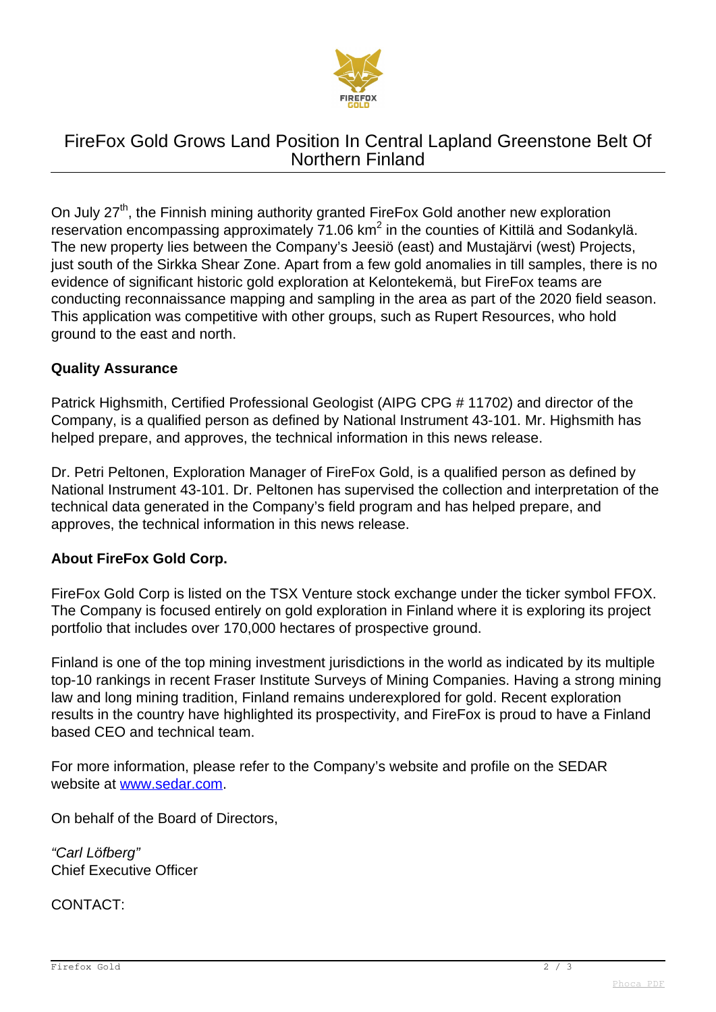

# FireFox Gold Grows Land Position In Central Lapland Greenstone Belt Of Northern Finland

On July 27<sup>th</sup>, the Finnish mining authority granted FireFox Gold another new exploration reservation encompassing approximately  $71.06$  km<sup>2</sup> in the counties of Kittilä and Sodankylä. The new property lies between the Company's Jeesiö (east) and Mustajärvi (west) Projects, just south of the Sirkka Shear Zone. Apart from a few gold anomalies in till samples, there is no evidence of significant historic gold exploration at Kelontekemä, but FireFox teams are conducting reconnaissance mapping and sampling in the area as part of the 2020 field season. This application was competitive with other groups, such as Rupert Resources, who hold ground to the east and north.

#### **Quality Assurance**

Patrick Highsmith, Certified Professional Geologist (AIPG CPG # 11702) and director of the Company, is a qualified person as defined by National Instrument 43-101. Mr. Highsmith has helped prepare, and approves, the technical information in this news release.

Dr. Petri Peltonen, Exploration Manager of FireFox Gold, is a qualified person as defined by National Instrument 43-101. Dr. Peltonen has supervised the collection and interpretation of the technical data generated in the Company's field program and has helped prepare, and approves, the technical information in this news release.

#### **About FireFox Gold Corp.**

FireFox Gold Corp is listed on the TSX Venture stock exchange under the ticker symbol FFOX. The Company is focused entirely on gold exploration in Finland where it is exploring its project portfolio that includes over 170,000 hectares of prospective ground.

Finland is one of the top mining investment jurisdictions in the world as indicated by its multiple top-10 rankings in recent Fraser Institute Surveys of Mining Companies. Having a strong mining law and long mining tradition, Finland remains underexplored for gold. Recent exploration results in the country have highlighted its prospectivity, and FireFox is proud to have a Finland based CEO and technical team.

For more information, please refer to the Company's website and profile on the SEDAR website at [www.sedar.com](http://www.sedar.com).

On behalf of the Board of Directors,

"Carl Löfberg" Chief Executive Officer

CONTACT: